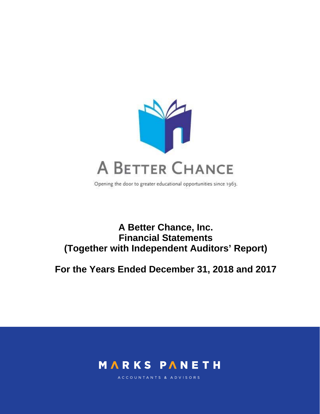

Opening the door to greater educational opportunities since 1963.

# **A Better Chance, Inc. Financial Statements (Together with Independent Auditors' Report)**

**For the Years Ended December 31, 2018 and 2017** 



ACCOUNTANTS & ADVISORS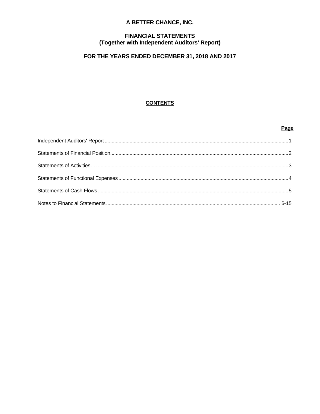# A BETTER CHANCE, INC.

# **FINANCIAL STATEMENTS** (Together with Independent Auditors' Report)

# FOR THE YEARS ENDED DECEMBER 31, 2018 AND 2017

# **CONTENTS**

# Page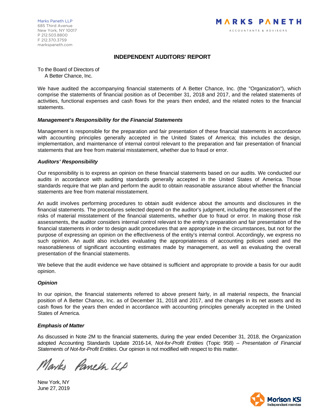Marks Paneth LLP 685 Third Avenue New York, NY 10017 P 212.503.8800 F 212.370.3759 markspaneth.com

# **INDEPENDENT AUDITORS' REPORT**

To the Board of Directors of A Better Chance, Inc.

We have audited the accompanying financial statements of A Better Chance, Inc. (the "Organization"), which comprise the statements of financial position as of December 31, 2018 and 2017, and the related statements of activities, functional expenses and cash flows for the years then ended, and the related notes to the financial statements.

#### *Management's Responsibility for the Financial Statements*

Management is responsible for the preparation and fair presentation of these financial statements in accordance with accounting principles generally accepted in the United States of America; this includes the design, implementation, and maintenance of internal control relevant to the preparation and fair presentation of financial statements that are free from material misstatement, whether due to fraud or error.

#### *Auditors' Responsibility*

Our responsibility is to express an opinion on these financial statements based on our audits. We conducted our audits in accordance with auditing standards generally accepted in the United States of America. Those standards require that we plan and perform the audit to obtain reasonable assurance about whether the financial statements are free from material misstatement.

An audit involves performing procedures to obtain audit evidence about the amounts and disclosures in the financial statements. The procedures selected depend on the auditor's judgment, including the assessment of the risks of material misstatement of the financial statements, whether due to fraud or error. In making those risk assessments, the auditor considers internal control relevant to the entity's preparation and fair presentation of the financial statements in order to design audit procedures that are appropriate in the circumstances, but not for the purpose of expressing an opinion on the effectiveness of the entity's internal control. Accordingly, we express no such opinion. An audit also includes evaluating the appropriateness of accounting policies used and the reasonableness of significant accounting estimates made by management, as well as evaluating the overall presentation of the financial statements.

We believe that the audit evidence we have obtained is sufficient and appropriate to provide a basis for our audit opinion.

#### *Opinion*

In our opinion, the financial statements referred to above present fairly, in all material respects, the financial position of A Better Chance, Inc. as of December 31, 2018 and 2017, and the changes in its net assets and its cash flows for the years then ended in accordance with accounting principles generally accepted in the United States of America.

#### *Emphasis of Matter*

As discussed in Note 2M to the financial statements, during the year ended December 31, 2018, the Organization adopted Accounting Standards Update 2016-14, *Not-for-Profit Entities* (Topic 958) – *Presentation of Financial Statements of Not-for-Profit Entities*. Our opinion is not modified with respect to this matter.

Narks Paneth UP

New York, NY June 27, 2019

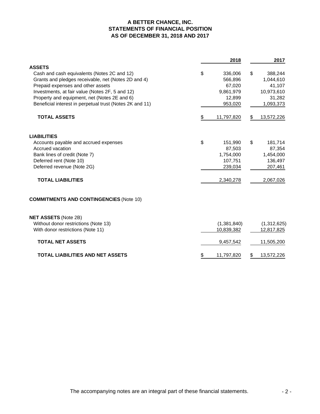# **A BETTER CHANCE, INC. STATEMENTS OF FINANCIAL POSITION AS OF DECEMBER 31, 2018 AND 2017**

|                                                          | 2018             | 2017             |
|----------------------------------------------------------|------------------|------------------|
| <b>ASSETS</b>                                            |                  |                  |
| Cash and cash equivalents (Notes 2C and 12)              | \$<br>336,006    | \$<br>388,244    |
| Grants and pledges receivable, net (Notes 2D and 4)      | 566,896          | 1,044,610        |
| Prepaid expenses and other assets                        | 67,020           | 41,107           |
| Investments, at fair value (Notes 2F, 5 and 12)          | 9,861,979        | 10,973,610       |
| Property and equipment, net (Notes 2E and 6)             | 12,899           | 31,282           |
| Beneficial interest in perpetual trust (Notes 2K and 11) | 953,020          | 1,093,373        |
| <b>TOTAL ASSETS</b>                                      | \$<br>11,797,820 | \$<br>13,572,226 |
| <b>LIABILITIES</b>                                       |                  |                  |
| Accounts payable and accrued expenses                    | \$<br>151,990    | \$<br>181,714    |
| Accrued vacation                                         | 87,503           | 87,354           |
| Bank lines of credit (Note 7)                            | 1,754,000        | 1,454,000        |
| Deferred rent (Note 10)                                  | 107,751          | 136,497          |
| Deferred revenue (Note 2G)                               | 239,034          | 207,461          |
| <b>TOTAL LIABILITIES</b>                                 | 2,340,278        | 2,067,026        |
| <b>COMMITMENTS AND CONTINGENCIES (Note 10)</b>           |                  |                  |
| <b>NET ASSETS (Note 2B)</b>                              |                  |                  |
| Without donor restrictions (Note 13)                     | (1,381,840)      | (1,312,625)      |
| With donor restrictions (Note 11)                        | 10,839,382       | 12,817,825       |
| <b>TOTAL NET ASSETS</b>                                  | 9,457,542        | 11,505,200       |
| <b>TOTAL LIABILITIES AND NET ASSETS</b>                  | \$<br>11,797,820 | \$<br>13,572,226 |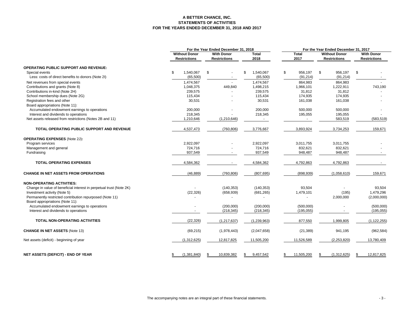#### **A BETTER CHANCE, INC. STATEMENTS OF ACTIVITIESFOR THE YEARS ENDED DECEMBER 31, 2018 AND 2017**

|                                                                     |                                             | For the Year Ended December 31, 2018 |                                          |    |                      |    | For the Year Ended December 31, 2017 |    |                                             |     |                                          |  |
|---------------------------------------------------------------------|---------------------------------------------|--------------------------------------|------------------------------------------|----|----------------------|----|--------------------------------------|----|---------------------------------------------|-----|------------------------------------------|--|
|                                                                     | <b>Without Donor</b><br><b>Restrictions</b> |                                      | <b>With Donor</b><br><b>Restrictions</b> |    | <b>Total</b><br>2018 |    | <b>Total</b><br>2017                 |    | <b>Without Donor</b><br><b>Restrictions</b> |     | <b>With Donor</b><br><b>Restrictions</b> |  |
| <b>OPERATING PUBLIC SUPPORT AND REVENUE:</b>                        |                                             |                                      |                                          |    |                      |    |                                      |    |                                             |     |                                          |  |
| Special events                                                      | \$                                          | 1,540,067                            | \$<br>$\overline{\phantom{a}}$           | \$ | 1,540,067            | \$ | 956,197                              | \$ | 956,197                                     | \$  |                                          |  |
| Less: costs of direct benefits to donors (Note 2I)                  |                                             | (65, 500)                            |                                          |    | (65,500)             |    | (91, 214)                            |    | (91, 214)                                   |     |                                          |  |
| Net revenues from special events                                    |                                             | 1,474,567                            |                                          |    | 1,474,567            |    | 864,983                              |    | 864,983                                     |     |                                          |  |
| Contributions and grants (Note 8)                                   |                                             | 1,048,375                            | 449,840                                  |    | 1,498,215            |    | 1,966,101                            |    | 1,222,911                                   |     | 743,190                                  |  |
| Contributions in-kind (Note 2H)                                     |                                             | 239,575                              |                                          |    | 239,575              |    | 31,812                               |    | 31,812                                      |     |                                          |  |
| School membership dues (Note 2G)                                    |                                             | 115,434                              |                                          |    | 115,434              |    | 174,935                              |    | 174,935                                     |     |                                          |  |
| Registration fees and other                                         |                                             | 30,531                               |                                          |    | 30,531               |    | 161,038                              |    | 161,038                                     |     |                                          |  |
| Board appropriations (Note 11):                                     |                                             |                                      |                                          |    |                      |    |                                      |    |                                             |     |                                          |  |
| Accumulated endowment earnings to operations                        |                                             | 200,000                              | $\blacksquare$                           |    | 200,000              |    | 500,000                              |    | 500,000                                     |     |                                          |  |
| Interest and dividends to operations                                |                                             | 218,345                              |                                          |    | 218,345              |    | 195,055                              |    | 195,055                                     |     |                                          |  |
| Net assets released from restrictions (Notes 2B and 11)             |                                             | 1,210,646                            | (1,210,646)                              |    | $\sim$               |    |                                      |    | 583,519                                     |     | (583, 519)                               |  |
|                                                                     |                                             |                                      |                                          |    |                      |    |                                      |    |                                             |     |                                          |  |
| <b>TOTAL OPERATING PUBLIC SUPPORT AND REVENUE</b>                   |                                             | 4,537,473                            | (760, 806)                               |    | 3,776,667            |    | 3,893,924                            |    | 3,734,253                                   |     | 159,671                                  |  |
| <b>OPERATING EXPENSES (Note 2J):</b>                                |                                             |                                      |                                          |    |                      |    |                                      |    |                                             |     |                                          |  |
| Program services                                                    |                                             | 2,922,097                            |                                          |    | 2.922.097            |    | 3,011,755                            |    | 3,011,755                                   |     |                                          |  |
| Management and general                                              |                                             | 724,716                              |                                          |    | 724,716              |    | 832,621                              |    | 832,621                                     |     |                                          |  |
| Fundraising                                                         |                                             | 937,549                              | $\blacksquare$                           |    | 937,549              |    | 948,487                              |    | 948,487                                     |     |                                          |  |
| <b>TOTAL OPERATING EXPENSES</b>                                     |                                             | 4,584,362                            |                                          |    | 4,584,362            |    | 4,792,863                            |    | 4,792,863                                   |     |                                          |  |
| <b>CHANGE IN NET ASSETS FROM OPERATIONS</b>                         |                                             | (46, 889)                            | (760, 806)                               |    | (807, 695)           |    | (898, 939)                           |    | (1,058,610)                                 |     | 159,671                                  |  |
| <b>NON-OPERATING ACTIVITIES:</b>                                    |                                             |                                      |                                          |    |                      |    |                                      |    |                                             |     |                                          |  |
| Change in value of beneficial interest in perpetual trust (Note 2K) |                                             |                                      | (140, 353)                               |    | (140, 353)           |    | 93,504                               |    |                                             |     | 93,504                                   |  |
| Investment activity (Note 5)                                        |                                             | (22, 326)                            | (658, 939)                               |    | (681, 265)           |    | 1,479,101                            |    | (195)                                       |     | 1,479,296                                |  |
| Permanently restricted contribution repurposed (Note 11)            |                                             |                                      |                                          |    |                      |    |                                      |    | 2,000,000                                   |     | (2,000,000)                              |  |
| Board appropriations (Note 11):                                     |                                             |                                      |                                          |    |                      |    |                                      |    |                                             |     |                                          |  |
| Accumulated endowment earnings to operations                        |                                             |                                      | (200,000)                                |    | (200,000)            |    | (500,000)                            |    |                                             |     | (500,000)                                |  |
| Interest and dividends to operations                                |                                             |                                      | (218, 345)                               |    | (218, 345)           |    | (195, 055)                           |    |                                             |     | (195, 055)                               |  |
| TOTAL NON-OPERATING ACTIVITIES                                      |                                             | (22, 326)                            | (1, 217, 637)                            |    | (1, 239, 963)        |    | 877,550                              |    | 1,999,805                                   |     | (1, 122, 255)                            |  |
|                                                                     |                                             |                                      |                                          |    |                      |    |                                      |    |                                             |     |                                          |  |
| <b>CHANGE IN NET ASSETS (Note 13)</b>                               |                                             | (69, 215)                            | (1,978,443)                              |    | (2,047,658)          |    | (21, 389)                            |    | 941,195                                     |     | (962, 584)                               |  |
| Net assets (deficit) - beginning of year                            |                                             | (1,312,625)                          | 12,817,825                               |    | 11,505,200           |    | 11,526,589                           |    | (2,253,820)                                 |     | 13,780,409                               |  |
| <b>NET ASSETS (DEFICIT) - END OF YEAR</b>                           | \$                                          | (1,381,840)                          | 10,839,382<br>\$                         | \$ | 9,457,542            | \$ | 11,505,200                           | \$ | (1,312,625)                                 | \$. | 12,817,825                               |  |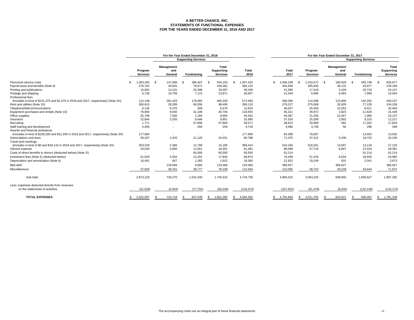#### **A BETTER CHANCE, INC. STATEMENTS OF FUNCTIONAL EXPENSESFOR THE YEARS ENDED DECEMBER 31, 2018 AND 2017**

|                                                                                       | For the Year Ended December 31, 2018 |                          |          |                            | For the Year Ended December 31, 2017          |     |                      |  |                      |                            |      |                              |                            |                                        |
|---------------------------------------------------------------------------------------|--------------------------------------|--------------------------|----------|----------------------------|-----------------------------------------------|-----|----------------------|--|----------------------|----------------------------|------|------------------------------|----------------------------|----------------------------------------|
|                                                                                       |                                      |                          |          | <b>Supporting Services</b> |                                               |     |                      |  |                      |                            |      |                              | <b>Supporting Services</b> |                                        |
|                                                                                       | Program<br><b>Services</b>           | Management<br>General    | and      | Fundraising                | <b>Total</b><br>Supporting<br><b>Services</b> |     | <b>Total</b><br>2018 |  | <b>Total</b><br>2017 | Program<br><b>Services</b> |      | Management<br>and<br>General | Fundraising                | Total<br>Supporting<br><b>Services</b> |
| Personnel service costs                                                               | .403.320<br>\$.                      | 147.696<br>- \$          |          | 396,407                    | 544.103<br>- \$                               |     | .947.423             |  | 2,046,249            | 1,419,572<br>- \$          | - \$ | 180,929                      | 445.748<br>- \$            | 626,677                                |
| Payroll taxes and benefits (Note 9)                                                   | 276,762                              | 29,691                   |          | 76,671                     | 106,362                                       |     | 383,124              |  | 435,939              | 305,830                    |      | 36,132                       | 93,977                     | 130,109                                |
| Printing and publications                                                             | 15,852                               | 13,101                   |          | 20,396                     | 33,497                                        |     | 49,349               |  | 41,566               | 17,419                     |      | 3,429                        | 20,718                     | 24,147                                 |
| Postage and shipping                                                                  | 6,736                                | 16,756                   |          | 7,115                      | 23,871                                        |     | 30,607               |  | 21,049               | 6,995                      |      | 6,064                        | 7,990                      | 14,054                                 |
| Professional fees                                                                     |                                      |                          |          |                            |                                               |     |                      |  |                      |                            |      |                              |                            |                                        |
| (Includes in-kind of \$131,375 and \$1,375 in 2018 and 2017, respectively) (Note 2H)  | 113,148                              | 281,433                  |          | 178,902                    | 460,335                                       |     | 573,483              |  | 368,395              | 110,288                    |      | 115,905                      | 142,202                    | 258,107                                |
| Rent and utilities (Note 10)                                                          | 300,615                              | 29,209                   |          | 69,286                     | 98,495                                        |     | 399,110              |  | 379,227              | 275,069                    |      | 26,929                       | 77,229                     | 104,158                                |
| Telephone/telecommunications                                                          | 6,136                                |                          | 6,370    | 309                        | 6,679                                         |     | 12,815               |  | 46,027               | 25,564                     |      | 12,052                       | 8.411                      | 20,463                                 |
| Equipment purchases and rentals (Note 10)                                             | 79,809                               |                          | 9,640    | 31,106                     | 40,746                                        |     | 120,555              |  | 45,321               | 29,872                     |      | 3,823                        | 11,626                     | 15,449                                 |
| Office supplies                                                                       | 25,768                               |                          | 7,500    | 1,184                      | 8,684                                         |     | 34,452               |  | 44,387               | 21,250                     |      | 22,047                       | 1,090                      | 23,137                                 |
| Insurance                                                                             | 22.844                               |                          | 3,205    | 6.646                      | 9.851                                         |     | 32.695               |  | 37,526               | 25,309                     |      | 2,902                        | 9.315                      | 12,217                                 |
| Recruiting                                                                            | 1,771                                | $\overline{\phantom{a}}$ |          | 57,800                     | 57,800                                        |     | 59,571               |  | 38,813               | 20,969                     |      | 582                          | 17,262                     | 17,844                                 |
| Staff training and development                                                        | 4,459                                |                          | $\sim$   | 259                        |                                               | 259 | 4,718                |  | 4,086                | 3,738                      |      | 50                           | 298                        | 348                                    |
| Awards and financial assistance                                                       |                                      |                          |          |                            |                                               |     |                      |  |                      |                            |      |                              |                            |                                        |
| (Includes in-kind of \$108,200 and \$12,295 in 2018 and 2017, respectively) (Note 2H) | 177,994                              |                          | $\sim$   |                            | $\sim$                                        |     | 177,994              |  | 84,399               | 70,837                     |      | $\sim$                       | 13,562                     | 13,562                                 |
| Subscriptions and dues                                                                | 36,337                               |                          | 3,325    | 21,126                     | 24,451                                        |     | 60.788               |  | 71,470               | 47,312                     |      | 5.436                        | 18.722                     | 24,158                                 |
| Travel and meetings                                                                   |                                      |                          |          |                            |                                               |     |                      |  |                      |                            |      |                              |                            |                                        |
| (Includes in-kind of \$0 and \$18,142 in 2018 and 2017, respectively) (Note 2H)       | 353.229                              |                          | 2.386    | 12.799                     | 15.185                                        |     | 368.414              |  | 543.166              | 516.041                    |      | 14.007                       | 13.118                     | 27.125                                 |
| Interest expense                                                                      | 43,030                               | 5,850                    |          | 12,501                     | 18,351                                        |     | 61,381               |  | 86,099               | 57,718                     |      | 6,847                        | 21,534                     | 28,381                                 |
| Costs of direct benefits to donors (deducted below) (Note 2I)                         | $\sim$                               |                          | $\sim$   | 65,500                     | 65,500                                        |     | 65,500               |  | 91,214               | $\sim$                     |      | $\sim$                       | 91,214                     | 91,214                                 |
| Investment fees (Note 5) (deducted below)                                             | 51.029                               |                          | 5,554    | 12,291                     | 17,845                                        |     | 68,874               |  | 76,438               | 51,478                     |      | 6,034                        | 18,926                     | 24,960                                 |
| Depreciation and amortization (Note 6)                                                | 16,461                               |                          | 657      | 1,265                      | 1,922                                         |     | 18,383               |  | 21,922               | 19,249                     |      | 632                          | 2,041                      | 2,673                                  |
| <b>Bad debt</b>                                                                       |                                      | 129,566                  |          | 4,000                      | 133,566                                       |     | 133,566              |  | 366,627              | $\sim$                     |      | 366,627                      | $\sim$                     | 366,627                                |
| Miscellaneous                                                                         | 37,826                               | 38,331                   |          | 39,777                     | 78,108                                        |     | 115,934              |  | 110,595              | 38,723                     |      | 28,228                       | 43,644                     | 71,872                                 |
| Sub-total                                                                             | 2,973,126                            | 730,270                  |          | 1,015,340                  | 1,745,610                                     |     | 4,718,736            |  | 4,960,515            | 3,063,233                  |      | 838,655                      | 1,058,627                  | 1,897,282                              |
| Less: expenses deducted directly from revenues                                        |                                      |                          |          |                            |                                               |     |                      |  |                      |                            |      |                              |                            |                                        |
| on the statements of activities                                                       | (51,029)                             |                          | (5, 554) | (77, 791)                  | (83, 345)                                     |     | (134, 374)           |  | (167, 652)           | (51, 478)                  |      | (6,034)                      | (110, 140)                 | (116, 174)                             |
| <b>TOTAL EXPENSES</b>                                                                 | 2,922,097                            | 724,716                  |          | 937,549                    | 1,662,265<br>-\$                              |     | 4,584,362<br>s.      |  | 4,792,863            | 3,011,755<br>\$            |      | 832,621                      | 948,487<br>\$              | - \$<br>1,781,108                      |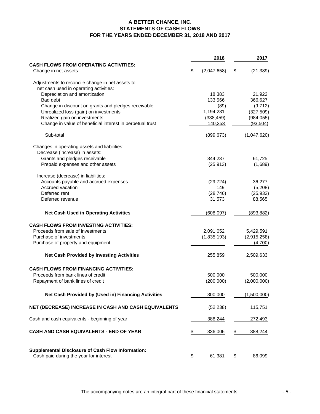# **A BETTER CHANCE, INC. STATEMENTS OF CASH FLOWS FOR THE YEARS ENDED DECEMBER 31, 2018 AND 2017**

|                                                           |                   | 2018        |                          | 2017        |
|-----------------------------------------------------------|-------------------|-------------|--------------------------|-------------|
| <b>CASH FLOWS FROM OPERATING ACTIVITIES:</b>              |                   |             |                          |             |
| Change in net assets                                      | \$                | (2,047,658) | \$                       | (21, 389)   |
| Adjustments to reconcile change in net assets to          |                   |             |                          |             |
| net cash used in operating activities:                    |                   |             |                          |             |
| Depreciation and amortization                             |                   | 18,383      |                          | 21,922      |
| Bad debt                                                  |                   | 133,566     |                          | 366,627     |
| Change in discount on grants and pledges receivable       |                   | (89)        |                          | (9,712)     |
| Unrealized loss (gain) on investments                     |                   | 1,194,231   |                          | (327, 509)  |
| Realized gain on investments                              |                   | (338, 459)  |                          | (984, 055)  |
| Change in value of beneficial interest in perpetual trust |                   | 140,353     |                          | (93, 504)   |
| Sub-total                                                 |                   | (899, 673)  |                          | (1,047,620) |
| Changes in operating assets and liabilities:              |                   |             |                          |             |
| Decrease (increase) in assets:                            |                   |             |                          |             |
| Grants and pledges receivable                             |                   | 344,237     |                          | 61,725      |
| Prepaid expenses and other assets                         |                   | (25, 913)   |                          | (1,689)     |
| Increase (decrease) in liabilities:                       |                   |             |                          |             |
| Accounts payable and accrued expenses                     |                   | (29, 724)   |                          | 36,277      |
| Accrued vacation                                          |                   | 149         |                          | (5,208)     |
| Deferred rent                                             |                   | (28, 746)   |                          | (25, 932)   |
| Deferred revenue                                          |                   | 31,573      |                          | 88,565      |
| <b>Net Cash Used in Operating Activities</b>              |                   | (608, 097)  |                          | (893, 882)  |
| <b>CASH FLOWS FROM INVESTING ACTIVITIES:</b>              |                   |             |                          |             |
| Proceeds from sale of investments                         |                   | 2,091,052   |                          | 5,429,591   |
| Purchase of investments                                   |                   | (1,835,193) |                          | (2,915,258) |
| Purchase of property and equipment                        |                   |             |                          | (4,700)     |
| <b>Net Cash Provided by Investing Activities</b>          |                   | 255,859     |                          | 2,509,633   |
| <b>CASH FLOWS FROM FINANCING ACTIVITIES:</b>              |                   |             |                          |             |
| Proceeds from bank lines of credit                        |                   | 500,000     |                          | 500,000     |
| Repayment of bank lines of credit                         |                   | (200,000)   |                          | (2,000,000) |
| Net Cash Provided by (Used in) Financing Activities       |                   | 300,000     |                          | (1,500,000) |
| NET (DECREASE) INCREASE IN CASH AND CASH EQUIVALENTS      |                   | (52, 238)   |                          | 115,751     |
| Cash and cash equivalents - beginning of year             |                   | 388,244     |                          | 272,493     |
|                                                           |                   |             |                          |             |
| CASH AND CASH EQUIVALENTS - END OF YEAR                   | \$                | 336,006     | $\frac{1}{2}$            | 388,244     |
| <b>Supplemental Disclosure of Cash Flow Information:</b>  |                   |             |                          |             |
| Cash paid during the year for interest                    | $\overline{\Phi}$ | 61,381      | $\overline{\mathcal{L}}$ | 86,099      |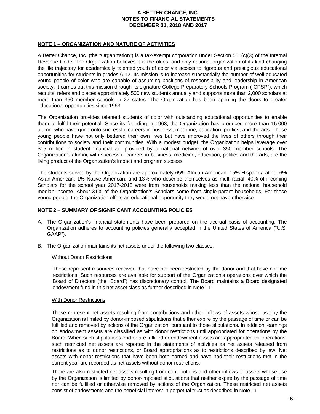## **NOTE 1** – **ORGANIZATION AND NATURE OF ACTIVITIES**

A Better Chance, Inc. (the "Organization") is a tax-exempt corporation under Section 501(c)(3) of the Internal Revenue Code. The Organization believes it is the oldest and only national organization of its kind changing the life trajectory for academically talented youth of color via access to rigorous and prestigious educational opportunities for students in grades 6-12. Its mission is to increase substantially the number of well-educated young people of color who are capable of assuming positions of responsibility and leadership in American society. It carries out this mission through its signature College Preparatory Schools Program ("CPSP"), which recruits, refers and places approximately 500 new students annually and supports more than 2,000 scholars at more than 350 member schools in 27 states. The Organization has been opening the doors to greater educational opportunities since 1963.

The Organization provides talented students of color with outstanding educational opportunities to enable them to fulfill their potential. Since its founding in 1963, the Organization has produced more than 15,000 alumni who have gone onto successful careers in business, medicine, education, politics, and the arts. These young people have not only bettered their own lives but have improved the lives of others through their contributions to society and their communities. With a modest budget, the Organization helps leverage over \$15 million in student financial aid provided by a national network of over 350 member schools. The Organization's alumni, with successful careers in business, medicine, education, politics and the arts, are the living product of the Organization's impact and program success.

The students served by the Organization are approximately 65% African-American, 15% Hispanic/Latino, 6% Asian-American, 1% Native American, and 13% who describe themselves as multi-racial. 40% of incoming Scholars for the school year 2017-2018 were from households making less than the national household median income. About 31% of the Organization's Scholars come from single-parent households. For these young people, the Organization offers an educational opportunity they would not have otherwise.

#### **NOTE 2** – **SUMMARY OF SIGNIFICANT ACCOUNTING POLICIES**

- A. The Organization's financial statements have been prepared on the accrual basis of accounting. The Organization adheres to accounting policies generally accepted in the United States of America ("U.S. GAAP").
- B. The Organization maintains its net assets under the following two classes:

#### Without Donor Restrictions

These represent resources received that have not been restricted by the donor and that have no time restrictions. Such resources are available for support of the Organization's operations over which the Board of Directors (the "Board") has discretionary control. The Board maintains a Board designated endowment fund in this net asset class as further described in Note 11.

#### With Donor Restrictions

These represent net assets resulting from contributions and other inflows of assets whose use by the Organization is limited by donor-imposed stipulations that either expire by the passage of time or can be fulfilled and removed by actions of the Organization, pursuant to those stipulations. In addition, earnings on endowment assets are classified as with donor restrictions until appropriated for operations by the Board. When such stipulations end or are fulfilled or endowment assets are appropriated for operations, such restricted net assets are reported in the statements of activities as net assets released from restrictions as to donor restrictions, or Board appropriations as to restrictions described by law. Net assets with donor restrictions that have been both earned and have had their restrictions met in the current year are recorded as net assets without donor restrictions.

There are also restricted net assets resulting from contributions and other inflows of assets whose use by the Organization is limited by donor-imposed stipulations that neither expire by the passage of time nor can be fulfilled or otherwise removed by actions of the Organization. These restricted net assets consist of endowments and the beneficial interest in perpetual trust as described in Note 11.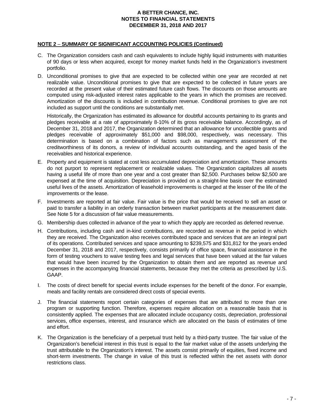## **NOTE 2** – **SUMMARY OF SIGNIFICANT ACCOUNTING POLICIES (Continued)**

- C. The Organization considers cash and cash equivalents to include highly liquid instruments with maturities of 90 days or less when acquired, except for money market funds held in the Organization's investment portfolio.
- D. Unconditional promises to give that are expected to be collected within one year are recorded at net realizable value. Unconditional promises to give that are expected to be collected in future years are recorded at the present value of their estimated future cash flows. The discounts on those amounts are computed using risk-adjusted interest rates applicable to the years in which the promises are received. Amortization of the discounts is included in contribution revenue. Conditional promises to give are not included as support until the conditions are substantially met.

Historically, the Organization has estimated its allowance for doubtful accounts pertaining to its grants and pledges receivable at a rate of approximately 8-10% of its gross receivable balance. Accordingly, as of December 31, 2018 and 2017, the Organization determined that an allowance for uncollectible grants and pledges receivable of approximately \$51,000 and \$98,000, respectively, was necessary. This determination is based on a combination of factors such as management's assessment of the creditworthiness of its donors, a review of individual accounts outstanding, and the aged basis of the receivables and historical experience.

- E. Property and equipment is stated at cost less accumulated depreciation and amortization. These amounts do not purport to represent replacement or realizable values. The Organization capitalizes all assets having a useful life of more than one year and a cost greater than \$2,500. Purchases below \$2,500 are expensed at the time of acquisition. Depreciation is provided on a straight-line basis over the estimated useful lives of the assets. Amortization of leasehold improvements is charged at the lesser of the life of the improvements or the lease.
- F. Investments are reported at fair value. Fair value is the price that would be received to sell an asset or paid to transfer a liability in an orderly transaction between market participants at the measurement date. See Note 5 for a discussion of fair value measurements.
- G. Membership dues collected in advance of the year to which they apply are recorded as deferred revenue.
- H. Contributions, including cash and in-kind contributions, are recorded as revenue in the period in which they are received. The Organization also receives contributed space and services that are an integral part of its operations. Contributed services and space amounting to \$239,575 and \$31,812 for the years ended December 31, 2018 and 2017, respectively, consists primarily of office space, financial assistance in the form of testing vouchers to waive testing fees and legal services that have been valued at the fair values that would have been incurred by the Organization to obtain them and are reported as revenue and expenses in the accompanying financial statements, because they met the criteria as prescribed by U.S. GAAP.
- I. The costs of direct benefit for special events include expenses for the benefit of the donor. For example, meals and facility rentals are considered direct costs of special events.
- J. The financial statements report certain categories of expenses that are attributed to more than one program or supporting function. Therefore, expenses require allocation on a reasonable basis that is consistently applied. The expenses that are allocated include occupancy costs, depreciation, professional services, office expenses, interest, and insurance which are allocated on the basis of estimates of time and effort.
- K. The Organization is the beneficiary of a perpetual trust held by a third-party trustee. The fair value of the Organization's beneficial interest in this trust is equal to the fair market value of the assets underlying the trust attributable to the Organization's interest. The assets consist primarily of equities, fixed income and short-term investments. The change in value of this trust is reflected within the net assets with donor restrictions class.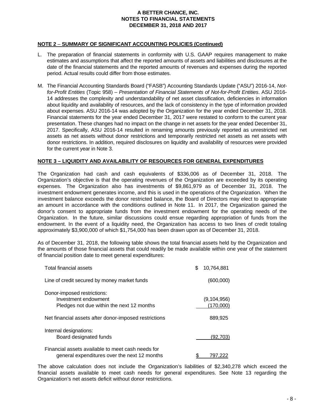# **NOTE 2** – **SUMMARY OF SIGNIFICANT ACCOUNTING POLICIES (Continued)**

- L. The preparation of financial statements in conformity with U.S. GAAP requires management to make estimates and assumptions that affect the reported amounts of assets and liabilities and disclosures at the date of the financial statements and the reported amounts of revenues and expenses during the reported period. Actual results could differ from those estimates.
- M. The Financial Accounting Standards Board ("FASB") Accounting Standards Update ("ASU") 2016-14, *Notfor-Profit Entities* (Topic 958) – *Presentation of Financial Statements of Not-for-Profit Entities*. ASU 2016- 14 addresses the complexity and understandability of net asset classification, deficiencies in information about liquidity and availability of resources, and the lack of consistency in the type of information provided about expenses. ASU 2016-14 was adopted by the Organization for the year ended December 31, 2018. Financial statements for the year ended December 31, 2017 were restated to conform to the current year presentation. These changes had no impact on the change in net assets for the year ended December 31, 2017. Specifically, ASU 2016-14 resulted in renaming amounts previously reported as unrestricted net assets as net assets without donor restrictions and temporarily restricted net assets as net assets with donor restrictions. In addition, required disclosures on liquidity and availability of resources were provided for the current year in Note 3.

## **NOTE 3 – LIQUIDITY AND AVAILABILITY OF RESOURCES FOR GENERAL EXPENDITURES**

The Organization had cash and cash equivalents of \$336,006 as of December 31, 2018. The Organization's objective is that the operating revenues of the Organization are exceeded by its operating expenses. The Organization also has investments of \$9,861,979 as of December 31, 2018. The investment endowment generates income, and this is used in the operations of the Organization. When the investment balance exceeds the donor restricted balance, the Board of Directors may elect to appropriate an amount in accordance with the conditions outlined in Note 11. In 2017, the Organization gained the donor's consent to appropriate funds from the investment endowment for the operating needs of the Organization. In the future, similar discussions could ensue regarding appropriation of funds from the endowment. In the event of a liquidity need, the Organization has access to two lines of credit totaling approximately \$3,900,000 of which \$1,754,000 has been drawn upon as of December 31, 2018.

As of December 31, 2018, the following table shows the total financial assets held by the Organization and the amounts of those financial assets that could readily be made available within one year of the statement of financial position date to meet general expenditures:

| <b>Total financial assets</b>                                                                     | \$<br>10.764.881         |
|---------------------------------------------------------------------------------------------------|--------------------------|
| Line of credit secured by money market funds                                                      | (600,000)                |
| Donor-imposed restrictions:<br>Investment endowment<br>Pledges not due within the next 12 months  | (9,104,956)<br>(170,000) |
| Net financial assets after donor-imposed restrictions                                             | 889,925                  |
| Internal designations:<br>Board designated funds                                                  | (92,703)                 |
| Financial assets available to meet cash needs for<br>general expenditures over the next 12 months | 797.222                  |

The above calculation does not include the Organization's liabilities of \$2,340,278 which exceed the financial assets available to meet cash needs for general expenditures. See Note 13 regarding the Organization's net assets deficit without donor restrictions.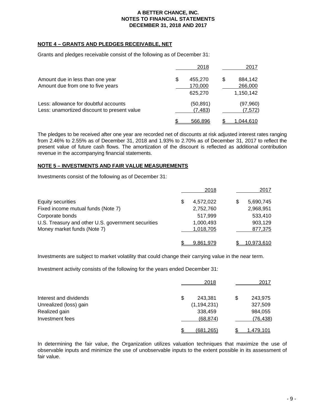# **NOTE 4 – GRANTS AND PLEDGES RECEIVABLE, NET**

Grants and pledges receivable consist of the following as of December 31:

|                                                                                      | 2018                                |   | 2017                            |
|--------------------------------------------------------------------------------------|-------------------------------------|---|---------------------------------|
| Amount due in less than one year<br>Amount due from one to five years                | \$<br>455,270<br>170,000<br>625,270 | S | 884,142<br>266,000<br>1,150,142 |
| Less: allowance for doubtful accounts<br>Less: unamortized discount to present value | (50,891)<br>(7,483)                 |   | (97,960)<br>(7, 572)            |
|                                                                                      | 566.896                             |   | .044.610                        |

The pledges to be received after one year are recorded net of discounts at risk adjusted interest rates ranging from 2.46% to 2.55% as of December 31, 2018 and 1.93% to 2.70% as of December 31, 2017 to reflect the present value of future cash flows. The amortization of the discount is reflected as additional contribution revenue in the accompanying financial statements.

# **NOTE 5 – INVESTMENTS AND FAIR VALUE MEASUREMENTS**

Investments consist of the following as of December 31:

|                                                    | 2018            | 2017       |
|----------------------------------------------------|-----------------|------------|
| Equity securities                                  | \$<br>4,572,022 | 5,690,745  |
| Fixed income mutual funds (Note 7)                 | 2,752,760       | 2,968,951  |
| Corporate bonds                                    | 517,999         | 533,410    |
| U.S. Treasury and other U.S. government securities | 1,000,493       | 903,129    |
| Money market funds (Note 7)                        | 1,018,705       | 877,375    |
|                                                    | 9,861,979       | 10,973,610 |

Investments are subject to market volatility that could change their carrying value in the near term.

Investment activity consists of the following for the years ended December 31:

|                        | 2018             | 2017      |
|------------------------|------------------|-----------|
| Interest and dividends | \$<br>243,381    | 243,975   |
| Unrealized (loss) gain | (1, 194, 231)    | 327,509   |
| Realized gain          | 338,459          | 984,055   |
| Investment fees        | (68, 874)        | (76, 438) |
|                        | <u>(681,265)</u> | 1.479.101 |

In determining the fair value, the Organization utilizes valuation techniques that maximize the use of observable inputs and minimize the use of unobservable inputs to the extent possible in its assessment of fair value.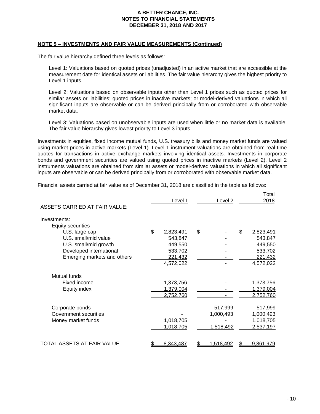#### **NOTE 5 – INVESTMENTS AND FAIR VALUE MEASUREMENTS (Continued)**

The fair value hierarchy defined three levels as follows:

Level 1: Valuations based on quoted prices (unadjusted) in an active market that are accessible at the measurement date for identical assets or liabilities. The fair value hierarchy gives the highest priority to Level 1 inputs.

Level 2: Valuations based on observable inputs other than Level 1 prices such as quoted prices for similar assets or liabilities; quoted prices in inactive markets; or model-derived valuations in which all significant inputs are observable or can be derived principally from or corroborated with observable market data.

Level 3: Valuations based on unobservable inputs are used when little or no market data is available. The fair value hierarchy gives lowest priority to Level 3 inputs.

Investments in equities, fixed income mutual funds, U.S. treasury bills and money market funds are valued using market prices in active markets (Level 1). Level 1 instrument valuations are obtained from real-time quotes for transactions in active exchange markets involving identical assets. Investments in corporate bonds and government securities are valued using quoted prices in inactive markets (Level 2). Level 2 instruments valuations are obtained from similar assets or model-derived valuations in which all significant inputs are observable or can be derived principally from or corroborated with observable market data.

Financial assets carried at fair value as of December 31, 2018 are classified in the table as follows:

| ASSETS CARRIED AT FAIR VALUE: | Level 1         | Level <sub>2</sub> | Total<br>2018   |
|-------------------------------|-----------------|--------------------|-----------------|
| Investments:                  |                 |                    |                 |
| <b>Equity securities</b>      |                 |                    |                 |
| U.S. large cap                | \$<br>2,823,491 | \$                 | \$<br>2,823,491 |
| U.S. small/mid value          | 543,847         |                    | 543,847         |
| U.S. small/mid growth         | 449,550         |                    | 449,550         |
| Developed international       | 533,702         |                    | 533,702         |
| Emerging markets and others   | 221,432         |                    | 221,432         |
|                               | 4,572,022       |                    | 4,572,022       |
| Mutual funds                  |                 |                    |                 |
| Fixed income                  | 1,373,756       |                    | 1,373,756       |
| Equity index                  | 1,379,004       |                    | 1,379,004       |
|                               | 2,752,760       |                    | 2,752,760       |
| Corporate bonds               |                 | 517,999            | 517,999         |
| Government securities         |                 | 1,000,493          | 1,000,493       |
| Money market funds            | 1,018,705       |                    | 1,018,705       |
|                               | 1,018,705       | 1,518,492          | 2,537,197       |
|                               |                 |                    |                 |
| TOTAL ASSETS AT FAIR VALUE    | 8,343,487       | <u>1,518,492</u>   | 9,861,979       |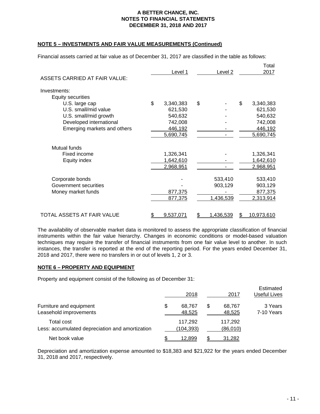# **NOTE 5 – INVESTMENTS AND FAIR VALUE MEASUREMENTS (Continued)**

Financial assets carried at fair value as of December 31, 2017 are classified in the table as follows:

| <b>ASSETS CARRIED AT FAIR VALUE:</b> | Level 1         | Level 2         |    | Total<br>2017 |
|--------------------------------------|-----------------|-----------------|----|---------------|
| Investments:                         |                 |                 |    |               |
| <b>Equity securities</b>             |                 |                 |    |               |
| U.S. large cap                       | \$<br>3,340,383 | \$              | \$ | 3,340,383     |
| U.S. small/mid value                 | 621,530         |                 |    | 621,530       |
| U.S. small/mid growth                | 540,632         |                 |    | 540,632       |
| Developed international              | 742,008         |                 |    | 742,008       |
| Emerging markets and others          | 446,192         |                 |    | 446,192       |
|                                      | 5,690,745       |                 |    | 5,690,745     |
| <b>Mutual funds</b>                  |                 |                 |    |               |
| Fixed income                         | 1,326,341       |                 |    | 1,326,341     |
| Equity index                         | 1,642,610       |                 |    | 1,642,610     |
|                                      | 2,968,951       |                 |    | 2,968,951     |
| Corporate bonds                      |                 | 533,410         |    | 533,410       |
| Government securities                |                 | 903,129         |    | 903,129       |
| Money market funds                   | 877,375         |                 |    | 877,375       |
|                                      | 877,375         | 1,436,539       |    | 2,313,914     |
|                                      |                 |                 |    |               |
| TOTAL ASSETS AT FAIR VALUE           | \$<br>9,537,071 | \$<br>1,436,539 | S  | 10,973,610    |

The availability of observable market data is monitored to assess the appropriate classification of financial instruments within the fair value hierarchy. Changes in economic conditions or model-based valuation techniques may require the transfer of financial instruments from one fair value level to another. In such instances, the transfer is reported at the end of the reporting period. For the years ended December 31, 2018 and 2017, there were no transfers in or out of levels 1, 2 or 3.

#### **NOTE 6 – PROPERTY AND EQUIPMENT**

Property and equipment consist of the following as of December 31:

|                                                               | 2018                   | 2017                   | Estimated<br>Useful Lives |
|---------------------------------------------------------------|------------------------|------------------------|---------------------------|
| Furniture and equipment<br>Leasehold improvements             | \$<br>68,767<br>48,525 | \$<br>68,767<br>48,525 | 3 Years<br>7-10 Years     |
| Total cost<br>Less: accumulated depreciation and amortization | 117.292<br>(104,393)   | 117,292<br>(86,010)    |                           |
| Net book value                                                | 12.899                 | 31,282                 |                           |

Depreciation and amortization expense amounted to \$18,383 and \$21,922 for the years ended December 31, 2018 and 2017, respectively.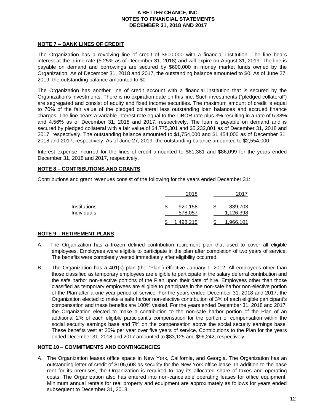# **NOTE 7 – BANK LINES OF CREDIT**

The Organization has a revolving line of credit of \$600,000 with a financial institution. The line bears interest at the prime rate (5.25% as of December 31, 2018) and will expire on August 31, 2019. The line is payable on demand and borrowings are secured by \$600,000 in money market funds owned by the Organization. As of December 31, 2018 and 2017, the outstanding balance amounted to \$0. As of June 27, 2019, the outstanding balance amounted to \$0

The Organization has another line of credit account with a financial institution that is secured by the Organization's investments. There is no expiration date on this line. Such investments ("pledged collateral") are segregated and consist of equity and fixed income securities. The maximum amount of credit is equal to 70% of the fair value of the pledged collateral less outstanding loan balances and accrued finance charges. The line bears a variable interest rate equal to the LIBOR rate plus 3% resulting in a rate of 5.38% and 4.56% as of December 31, 2018 and 2017, respectively. The loan is payable on demand and is secured by pledged collateral with a fair value of \$4,775,301 and \$5,232,801 as of December 31, 2018 and 2017, respectively. The outstanding balance amounted to \$1,754,000 and \$1,454,000 as of December 31, 2018 and 2017, respectively. As of June 27, 2019, the outstanding balance amounted to \$2,554,000.

Interest expense incurred for the lines of credit amounted to \$61,381 and \$86,099 for the years ended December 31, 2018 and 2017, respectively.

## **NOTE 8 – CONTRIBUTIONS AND GRANTS**

Contributions and grant revenues consist of the following for the years ended December 31:

|                                           |   | 2018               |   | 2017                 |
|-------------------------------------------|---|--------------------|---|----------------------|
| <b>Institutions</b><br><b>Individuals</b> | S | 920,158<br>578,057 | S | 839,703<br>1,126,398 |
|                                           |   | .498.215           |   | 1,966,101            |

# **NOTE 9 – RETIREMENT PLANS**

- A. The Organization has a frozen defined contribution retirement plan that used to cover all eligible employees. Employees were eligible to participate in the plan after completion of two years of service. The benefits were completely vested immediately after eligibility occurred.
- B. The Organization has a 401(k) plan (the "Plan") effective January 1, 2012. All employees other than those classified as temporary employees are eligible to participate in the salary deferral contribution and the safe harbor non-elective portions of the Plan upon their date of hire. Employees other than those classified as temporary employees are eligible to participate in the non-safe harbor non-elective portion of the Plan after a one-year period of service. For the years ended December 31, 2018 and 2017, the Organization elected to make a safe harbor non-elective contribution of 3% of each eligible participant's compensation and these benefits are 100% vested. For the years ended December 31, 2018 and 2017, the Organization elected to make a contribution to the non-safe harbor portion of the Plan of an additional 2% of each eligible participant's compensation for the portion of compensation within the social security earnings base and 7% on the compensation above the social security earnings base. These benefits vest at 20% per year over five years of service. Contributions to the Plan for the years ended December 31, 2018 and 2017 amounted to \$83,125 and \$96,242, respectively.

#### **NOTE 10** – **COMMITMENTS AND CONTINGENCIES**

A. The Organization leases office space in New York, California, and Georgia. The Organization has an outstanding letter of credit of \$105,608 as security for the New York office lease. In addition to the base rent for its premises, the Organization is required to pay its allocated share of taxes and operating costs. The Organization also has entered into non-cancelable operating leases for office equipment. Minimum annual rentals for real property and equipment are approximately as follows for years ended subsequent to December 31, 2018: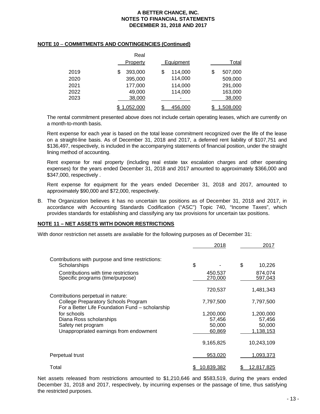#### **NOTE 10** – **COMMITMENTS AND CONTINGENCIES (Continued)**

|      | Real          |               |               |
|------|---------------|---------------|---------------|
|      | Property      | Equipment     | Total         |
| 2019 | 393,000<br>\$ | 114,000<br>\$ | \$<br>507,000 |
| 2020 | 395,000       | 114,000       | 509,000       |
| 2021 | 177,000       | 114,000       | 291,000       |
| 2022 | 49,000        | 114,000       | 163,000       |
| 2023 | 38,000        |               | 38,000        |
|      | 1,052,000     | \$<br>456,000 | 1,508,000     |

The rental commitment presented above does not include certain operating leases, which are currently on a month-to-month basis.

Rent expense for each year is based on the total lease commitment recognized over the life of the lease on a straight-line basis. As of December 31, 2018 and 2017, a deferred rent liability of \$107,751 and \$136,497, respectively, is included in the accompanying statements of financial position, under the straight lining method of accounting.

Rent expense for real property (including real estate tax escalation charges and other operating expenses) for the years ended December 31, 2018 and 2017 amounted to approximately \$366,000 and \$347,000, respectively .

Rent expense for equipment for the years ended December 31, 2018 and 2017, amounted to approximately \$90,000 and \$72,000, respectively.

B. The Organization believes it has no uncertain tax positions as of December 31, 2018 and 2017, in accordance with Accounting Standards Codification ("ASC") Topic 740, "Income Taxes", which provides standards for establishing and classifying any tax provisions for uncertain tax positions.

# **NOTE 11 – NET ASSETS WITH DONOR RESTRICTIONS**

With donor restriction net assets are available for the following purposes as of December 31:

|                                                                                                                              |            | 2018               | 2017               |
|------------------------------------------------------------------------------------------------------------------------------|------------|--------------------|--------------------|
| Contributions with purpose and time restrictions:<br>Scholarships                                                            | \$         | \$                 | 10,226             |
| Contributions with time restrictions<br>Specific programs (time/purpose)                                                     |            | 450.537<br>270,000 | 874,074<br>597,043 |
|                                                                                                                              | 720,537    |                    | 1,481,343          |
| Contributions perpetual in nature:<br>College Preparatory Schools Program<br>For a Better Life Foundation Fund - scholarship | 7,797,500  |                    | 7,797,500          |
| for schools                                                                                                                  | 1.200.000  |                    | 1.200.000          |
| Diana Ross scholarships                                                                                                      |            | 57,456             | 57,456             |
| Safety net program                                                                                                           |            | 50,000             | 50,000             |
| Unappropriated earnings from endowment                                                                                       |            | 60,869             | 1,138,153          |
|                                                                                                                              | 9,165,825  |                    | 10,243,109         |
| Perpetual trust                                                                                                              |            | 953,020            | 1,093,373          |
| Total                                                                                                                        | 10,839,382 |                    | 12,817,825         |

Net assets released from restrictions amounted to \$1,210,646 and \$583,519, during the years ended December 31, 2018 and 2017, respectively, by incurring expenses or the passage of time, thus satisfying the restricted purposes.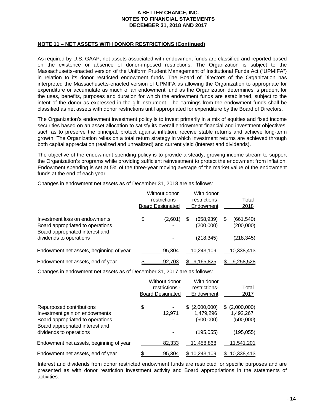# **NOTE 11 – NET ASSETS WITH DONOR RESTRICTIONS (Continued)**

As required by U.S. GAAP, net assets associated with endowment funds are classified and reported based on the existence or absence of donor-imposed restrictions. The Organization is subject to the Massachusetts-enacted version of the Uniform Prudent Management of Institutional Funds Act ("UPMIFA") in relation to its donor restricted endowment funds. The Board of Directors of the Organization has interpreted the Massachusetts-enacted version of UPMIFA as allowing the Organization to appropriate for expenditure or accumulate as much of an endowment fund as the Organization determines is prudent for the uses, benefits, purposes and duration for which the endowment funds are established, subject to the intent of the donor as expressed in the gift instrument. The earnings from the endowment funds shall be classified as net assets with donor restrictions until appropriated for expenditure by the Board of Directors.

The Organization's endowment investment policy is to invest primarily in a mix of equities and fixed income securities based on an asset allocation to satisfy its overall endowment financial and investment objectives, such as to preserve the principal, protect against inflation, receive stable returns and achieve long-term growth. The Organization relies on a total return strategy in which investment returns are achieved through both capital appreciation (realized and unrealized) and current yield (interest and dividends).

The objective of the endowment spending policy is to provide a steady, growing income stream to support the Organization's programs while providing sufficient reinvestment to protect the endowment from inflation. Endowment spending is set at 5% of the three-year moving average of the market value of the endowment funds at the end of each year.

Changes in endowment net assets as of December 31, 2018 are as follows:

|                                                                                                      | Without donor<br>restrictions -<br><b>Board Designated</b> |   | With donor<br>restrictions-<br>Endowment | Total<br>2018                 |
|------------------------------------------------------------------------------------------------------|------------------------------------------------------------|---|------------------------------------------|-------------------------------|
| Investment loss on endowments<br>Board appropriated to operations<br>Board appropriated interest and | \$<br>(2,601)<br>۰                                         | S | (658, 939)<br>(200,000)                  | \$<br>(661, 540)<br>(200,000) |
| dividends to operations                                                                              |                                                            |   | (218, 345)                               | (218, 345)                    |
| Endowment net assets, beginning of year                                                              | 95.304                                                     |   | 10.243.109                               | 10,338,413                    |
| Endowment net assets, end of year                                                                    | \$<br>92.703                                               |   | 9.165.825                                | 9,258,528                     |

Changes in endowment net assets as of December 31, 2017 are as follows:

|                                                                                                                                  | Without donor<br>restrictions -<br><b>Board Designated</b> | With donor<br>restrictions-<br>Endowment   | Total<br>2017                            |
|----------------------------------------------------------------------------------------------------------------------------------|------------------------------------------------------------|--------------------------------------------|------------------------------------------|
| Repurposed contributions<br>Investment gain on endowments<br>Board appropriated to operations<br>Board appropriated interest and | \$<br>12,971<br>٠                                          | (2,000,000)<br>S<br>1,479,296<br>(500,000) | \$ (2,000,000)<br>1,492,267<br>(500,000) |
| dividends to operations                                                                                                          |                                                            | (195, 055)                                 | (195, 055)                               |
| Endowment net assets, beginning of year                                                                                          | 82,333                                                     | 11,458,868                                 | 11,541,201                               |
| Endowment net assets, end of year                                                                                                | 95,304                                                     | 10.243.109<br>S                            | 10.338.413<br>\$.                        |

Interest and dividends from donor restricted endowment funds are restricted for specific purposes and are presented as with donor restriction investment activity and Board appropriations in the statements of activities.